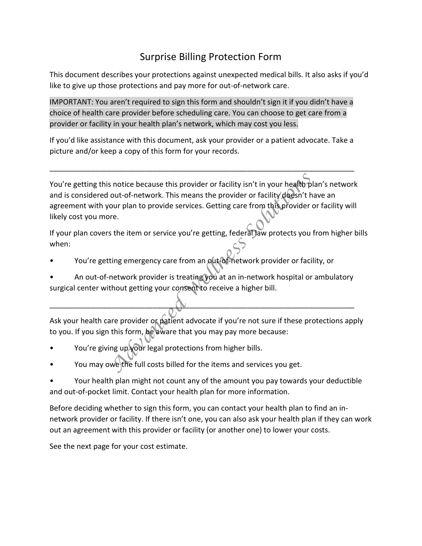## Surprise Billing Protection Form

This document describes your protections against unexpected medical bills. It also asks if you'd like to give up those protections and pay more for out-of-network care.

IMPORTANT: You aren't required to sign this form and shouldn't sign it if you didn't have a choice of health care provider before scheduling care. You can choose to get care from a provider or facility in your health plan's network, which may cost you less.

If you'd like assistance with this document, ask your provider or a patient advocate. Take a picture and/or keep a copy of this form for your records.

\_\_\_\_\_\_\_\_\_\_\_\_\_\_\_\_\_\_\_\_\_\_\_\_\_\_\_\_\_\_\_\_\_\_\_\_\_\_\_\_\_\_\_\_\_\_\_\_\_\_\_\_\_\_\_\_\_\_\_\_\_\_\_\_\_\_\_\_\_\_\_\_\_\_

You're getting this notice because this provider or facility isn't in your health plan's network and is considered out-of-network. This means the provider or facility doesn't have an agreement with your plan to provide services. Getting care from this provider or facility will likely cost you more. and the because this provider or facility isn't in your health p<br>
out-of-network. This means the provider or facility doesn't h<br>
our plan to provide services. Getting care from this provider<br>
re.<br>
Solutions of the solution

If your plan covers the item or service you're getting, federal law protects you from higher bills when:

- You're getting emergency care from an out-of-network provider or facility, or
- An out-of-network provider is treating you at an in-network hospital or ambulatory surgical center without getting your consent to receive a higher bill.

\_\_\_\_\_\_\_\_\_\_\_\_\_\_\_\_\_\_\_\_\_\_\_\_\_\_\_\_\_\_\_\_\_\_\_\_\_\_\_\_\_\_\_\_\_\_\_\_\_\_\_\_\_\_\_\_\_\_\_\_\_\_\_\_\_\_\_\_\_\_\_\_\_\_

Ask your health care provider or patient advocate if you're not sure if these protections apply to you. If you sign this form, be aware that you may pay more because:

- You're giving up your legal protections from higher bills.
- You may owe the full costs billed for the items and services you get.
- Your health plan might not count any of the amount you pay towards your deductible and out-of-pocket limit. Contact your health plan for more information.

Before deciding whether to sign this form, you can contact your health plan to find an innetwork provider or facility. If there isn't one, you can also ask your health plan if they can work out an agreement with this provider or facility (or another one) to lower your costs.

See the next page for your cost estimate.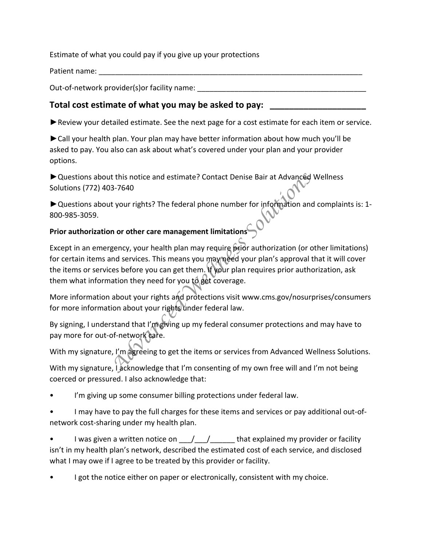Estimate of what you could pay if you give up your protections

Patient name:

Out-of-network provider(s)or facility name:

## Total cost estimate of what you may be asked to pay:

►Review your detailed estimate. See the next page for a cost estimate for each item or service.

►Call your health plan. Your plan may have better information about how much you'll be asked to pay. You also can ask about what's covered under your plan and your provider options.

▶ Questions about this notice and estimate? Contact Denise Bair at Advanced Wellness Solutions (772) 403-7640

►Questions about your rights? The federal phone number for information and complaints is: 1- 800-985-3059.

## **Prior authorization or other care management limitations**

Except in an emergency, your health plan may require prior authorization (or other limitations) for certain items and services. This means you may need your plan's approval that it will cover the items or services before you can get them. If your plan requires prior authorization, ask them what information they need for you to get coverage. *Advanced*<br> *Advanced*<br> *Advanced*<br> *Advanced*<br> *Advanced*<br> *Advanced*<br> *Advanced*<br> *Advanced*<br> *Advanced*<br> *Advanced*<br> *Advanced*<br> *And provided plan may require*  $\hat{p}_s$  *ior authorization (or comd services. This means yo* 

More information about your rights and protections visit www.cms.gov/nosurprises/consumers for more information about your rights under federal law.

By signing, I understand that I'm giving up my federal consumer protections and may have to pay more for out-of-network care.

With my signature, I'm agreeing to get the items or services from Advanced Wellness Solutions.

With my signature, I acknowledge that I'm consenting of my own free will and I'm not being coerced or pressured. I also acknowledge that:

- I'm giving up some consumer billing protections under federal law.
- I may have to pay the full charges for these items and services or pay additional out-ofnetwork cost-sharing under my health plan.
- I was given a written notice on  $\frac{1}{2}$  /  $\frac{1}{2}$  that explained my provider or facility isn't in my health plan's network, described the estimated cost of each service, and disclosed what I may owe if I agree to be treated by this provider or facility.
- I got the notice either on paper or electronically, consistent with my choice.